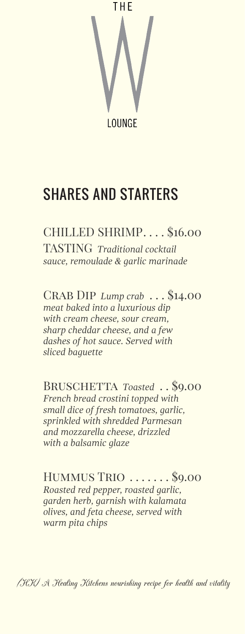

# SHARES AND STARTERS

CHILLED SHRIMP. . . . \$16.00 TASTING *Traditional cocktail sauce, remoulade & garlic marinade*

Crab Dip *Lump crab* . . . \$14.00 *meat baked into a luxurious dip with cream cheese, sour cream, sharp cheddar cheese, and a few dashes of hot sauce. Served with sliced baguette*

BRUSCHETTA Toasted . . \$9.00 *French bread crostini topped with small dice of fresh tomatoes, garlic, sprinkled with shredded Parmesan and mozzarella cheese, drizzled with a balsamic glaze*

Hummus Trio . . . . . . . \$9.00 *Roasted red pepper, roasted garlic, garden herb, garnish with kalamata olives, and feta cheese, served with warm pita chips*

(HK) A Healing Kitchens nourishing recipe for health and vitality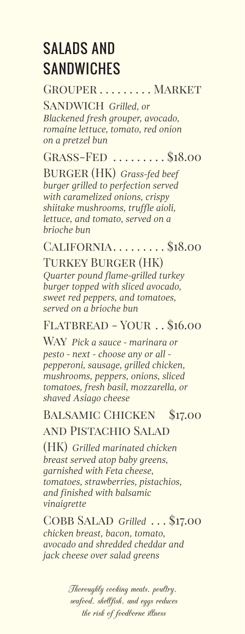# SALADS AND **SANDWICHES**

GROUPER . . . . . . . . . MARKET

Sandwich *Grilled, or Blackened fresh grouper, avocado, romaine lettuce, tomato, red onion on a pretzel bun*

Grass-Fed . . . . . . . . . \$18.00

Burger (HK) *Grass-fed beef burger grilled to perfection served with caramelized onions, crispy shiitake mushrooms, truffle aioli, lettuce, and tomato, served on a brioche bun*

California. . . . . . . . . \$18.00

Turkey Burger (HK) *Quarter pound flame-grilled turkey burger topped with sliced avocado, sweet red peppers, and tomatoes, served on a brioche bun*

### Flatbread - Your . . \$16.00

Way *Pick a sauce - marinara or pesto - next - choose any or all pepperoni, sausage, grilled chicken, mushrooms, peppers, onions, sliced tomatoes, fresh basil, mozzarella, or shaved Asiago cheese*

#### Balsamic Chicken \$17.00 and Pistachio Salad

(HK) *Grilled marinated chicken breast served atop baby greens, garnished with Feta cheese, tomatoes, strawberries, pistachios, and finished with balsamic vinaigrette*

Cobb Salad *Grilled* . . . \$17.00 *chicken breast, bacon, tomato, avocado and shredded cheddar and jack cheese over salad greens*

> Thoroughly cooking meats, poultry, seafood, shellfish, and eggs reduces the risk of foodborne illness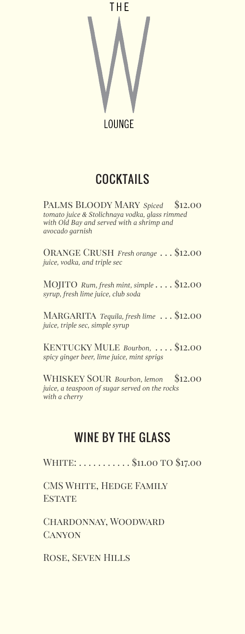

# COCKTAILS

Palms Bloody Mary *Spiced* \$12.00 *tomato juice & Stolichnaya vodka, glass rimmed with Old Bay and served with a shrimp and avocado garnish*

Orange Crush *Fresh orange* . . . \$12.00 *juice, vodka, and triple sec*

Mojito *Rum, fresh mint, simple* . . . . \$12.00 *syrup, fresh lime juice, club soda*

MARGARITA Tequila, fresh lime . . . \$12.00 *juice, triple sec, simple syrup*

Kentucky Mule *Bourbon,* . . . . \$12.00 *spicy ginger beer, lime juice, mint sprigs*

WHISKEY SOUR Bourbon, lemon \$12.00 *juice, a teaspoon of sugar served on the rocks with a cherry*

## WINF BY THE GLASS

WHITE: . . . . . . . . . . \$11.00 TO \$17.00

CMS WHITE, HEDGE FAMILY **ESTATE** 

Chardonnay, Woodward **CANYON** 

Rose, Seven Hills